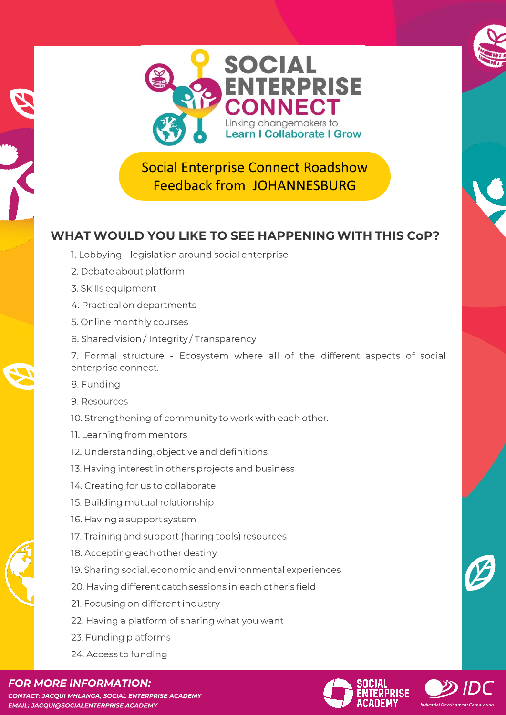

Social Enterprise Connect Roadshow Feedback from JOHANNESBURG

## WHAT WOULD YOU LIKE TO SEE HAPPENING WITH THIS CoP?

- 1. Lobbying legislation around social enterprise
- 2. Debate about platform
- WHAT WHAT WE GO TO GET A CONTINUES.
- 4. Practical on departments
- 5. Online monthly courses
- $\frac{1}{2}$ . Skills exchange programs for members for members for members for members for members for members for members  $\frac{1}{2}$ . 6. Shared vision / integrity / Transparency

7. Formal structure - Ecosystem where all of the different aspects of social  $\blacksquare$ for members to market our business.

- $\frac{1}{2}$ . Creating synergies for resources and knowledge synergies  $\frac{1}{2}$
- 9. Resources
- 10. Strengthening of community to work with each other.
- 11. Learning from mentors
- I2. Understanding, objective and definitions
	- 13. Having interest in others projects and business
	- 14. Creating for us to collaborate
	- 15. Building mutual relationship
	- 16. Having a support system
	- 17. Training and support (haring tools) resources
	- 18. Accepting each other destiny
	- 19. Sharing social, economic and environmental experiences
	- 20. Having different catch sessions in each other's field
	- 21. Focusing on different industry
	- 22. Having a platform of sharing what you want
	- 23. Funding platforms
	- 24. Access to funding



**CONTACT: JACQUI MHLANGA, SOCIAL ENTERPRISE ACADEMY EMAIL: JACOUI@SOCIALENTERPRISE.ACADEMY**